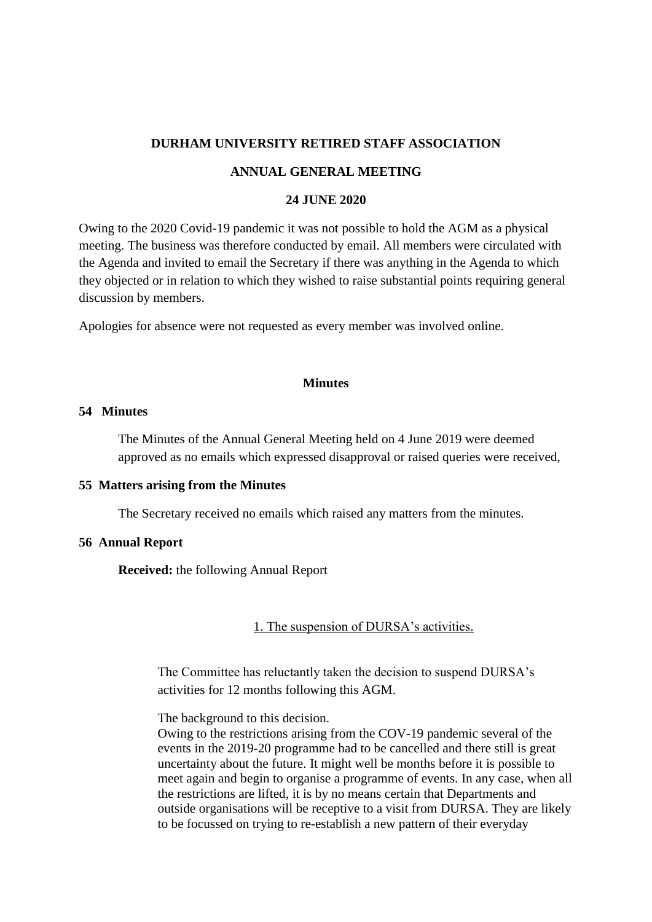# **DURHAM UNIVERSITY RETIRED STAFF ASSOCIATION**

## **ANNUAL GENERAL MEETING**

## **24 JUNE 2020**

Owing to the 2020 Covid-19 pandemic it was not possible to hold the AGM as a physical meeting. The business was therefore conducted by email. All members were circulated with the Agenda and invited to email the Secretary if there was anything in the Agenda to which they objected or in relation to which they wished to raise substantial points requiring general discussion by members.

Apologies for absence were not requested as every member was involved online.

# **Minutes**

## **54 Minutes**

The Minutes of the Annual General Meeting held on 4 June 2019 were deemed approved as no emails which expressed disapproval or raised queries were received,

#### **55 Matters arising from the Minutes**

The Secretary received no emails which raised any matters from the minutes.

#### **56 Annual Report**

**Received:** the following Annual Report

1. The suspension of DURSA's activities.

The Committee has reluctantly taken the decision to suspend DURSA's activities for 12 months following this AGM.

The background to this decision.

Owing to the restrictions arising from the COV-19 pandemic several of the events in the 2019-20 programme had to be cancelled and there still is great uncertainty about the future. It might well be months before it is possible to meet again and begin to organise a programme of events. In any case, when all the restrictions are lifted, it is by no means certain that Departments and outside organisations will be receptive to a visit from DURSA. They are likely to be focussed on trying to re-establish a new pattern of their everyday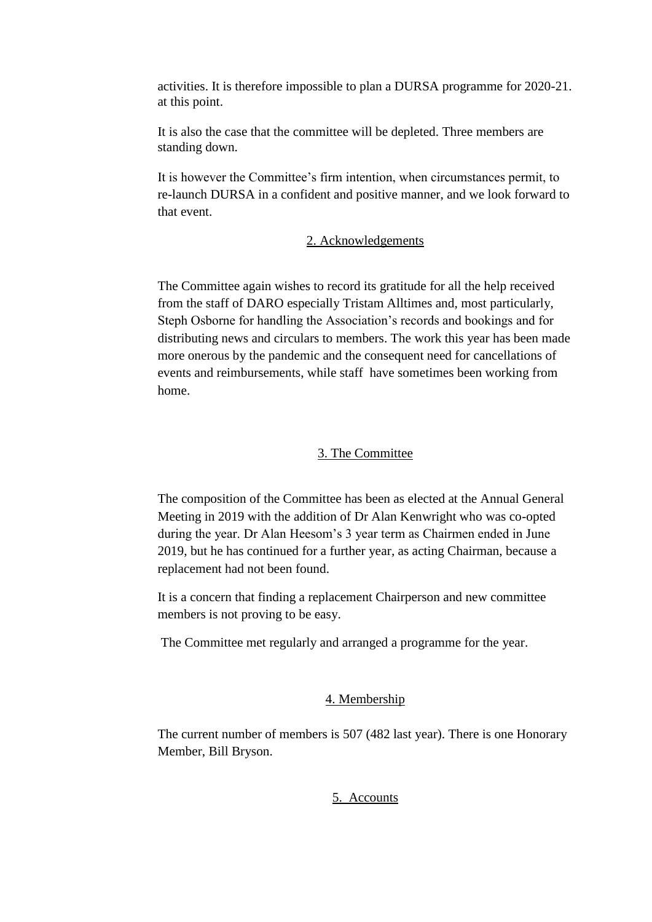activities. It is therefore impossible to plan a DURSA programme for 2020-21. at this point.

It is also the case that the committee will be depleted. Three members are standing down.

It is however the Committee's firm intention, when circumstances permit, to re-launch DURSA in a confident and positive manner, and we look forward to that event.

# 2. Acknowledgements

The Committee again wishes to record its gratitude for all the help received from the staff of DARO especially Tristam Alltimes and, most particularly, Steph Osborne for handling the Association's records and bookings and for distributing news and circulars to members. The work this year has been made more onerous by the pandemic and the consequent need for cancellations of events and reimbursements, while staff have sometimes been working from home.

## 3. The Committee

The composition of the Committee has been as elected at the Annual General Meeting in 2019 with the addition of Dr Alan Kenwright who was co-opted during the year. Dr Alan Heesom's 3 year term as Chairmen ended in June 2019, but he has continued for a further year, as acting Chairman, because a replacement had not been found.

It is a concern that finding a replacement Chairperson and new committee members is not proving to be easy.

The Committee met regularly and arranged a programme for the year.

## 4. Membership

The current number of members is 507 (482 last year). There is one Honorary Member, Bill Bryson.

#### 5. Accounts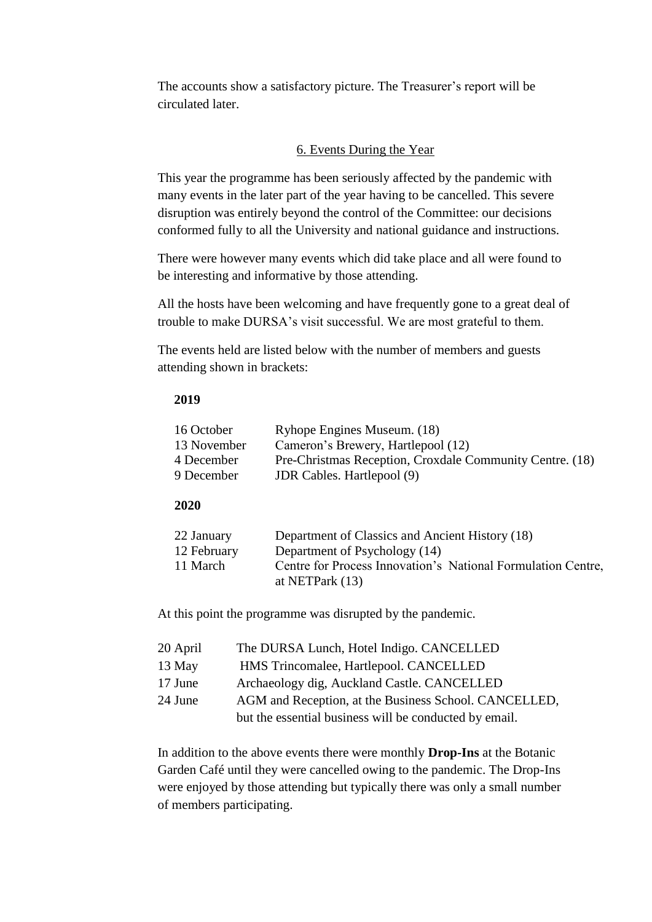The accounts show a satisfactory picture. The Treasurer's report will be circulated later.

# 6. Events During the Year

This year the programme has been seriously affected by the pandemic with many events in the later part of the year having to be cancelled. This severe disruption was entirely beyond the control of the Committee: our decisions conformed fully to all the University and national guidance and instructions.

There were however many events which did take place and all were found to be interesting and informative by those attending.

All the hosts have been welcoming and have frequently gone to a great deal of trouble to make DURSA's visit successful. We are most grateful to them.

The events held are listed below with the number of members and guests attending shown in brackets:

#### **2019**

| 16 October |             | Ryhope Engines Museum. (18)                              |
|------------|-------------|----------------------------------------------------------|
|            | 13 November | Cameron's Brewery, Hartlepool (12)                       |
|            | 4 December  | Pre-Christmas Reception, Croxdale Community Centre. (18) |
|            | 9 December  | <b>JDR Cables. Hartlepool (9)</b>                        |

#### **2020**

| 22 January  | Department of Classics and Ancient History (18)              |
|-------------|--------------------------------------------------------------|
| 12 February | Department of Psychology (14)                                |
| 11 March    | Centre for Process Innovation's National Formulation Centre, |
|             | at NETPark $(13)$                                            |

At this point the programme was disrupted by the pandemic.

| 20 April | The DURSA Lunch, Hotel Indigo. CANCELLED               |
|----------|--------------------------------------------------------|
| 13 May   | HMS Trincomalee, Hartlepool. CANCELLED                 |
| 17 June  | Archaeology dig, Auckland Castle. CANCELLED            |
| 24 June  | AGM and Reception, at the Business School. CANCELLED,  |
|          | but the essential business will be conducted by email. |

In addition to the above events there were monthly **Drop-Ins** at the Botanic Garden Café until they were cancelled owing to the pandemic. The Drop-Ins were enjoyed by those attending but typically there was only a small number of members participating.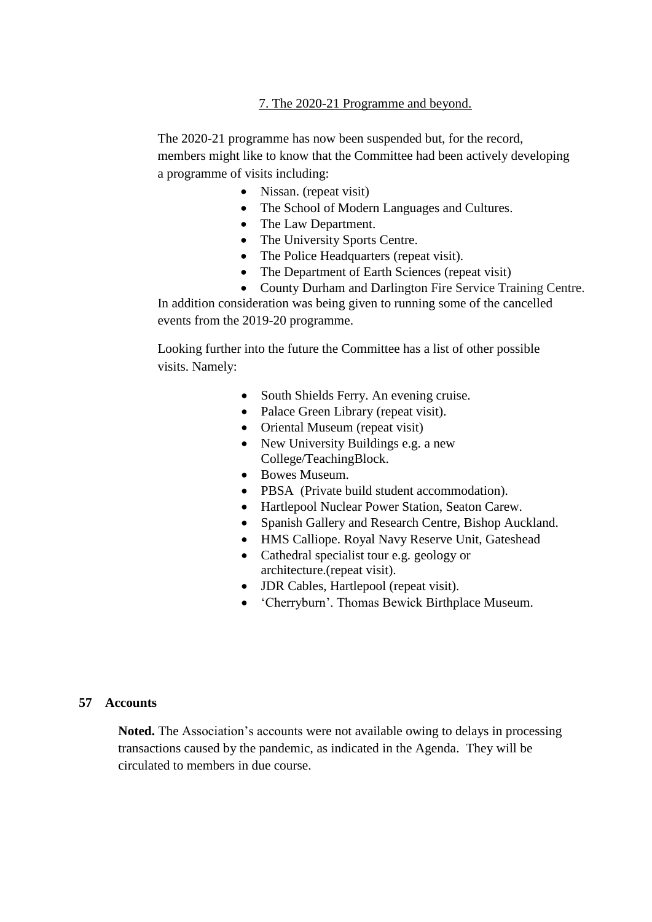# 7. The 2020-21 Programme and beyond.

The 2020-21 programme has now been suspended but, for the record, members might like to know that the Committee had been actively developing a programme of visits including:

- Nissan. (repeat visit)
- The School of Modern Languages and Cultures.
- The Law Department.
- The University Sports Centre.
- The Police Headquarters (repeat visit).
- The Department of Earth Sciences (repeat visit)

 County Durham and Darlington Fire Service Training Centre. In addition consideration was being given to running some of the cancelled events from the 2019-20 programme.

Looking further into the future the Committee has a list of other possible visits. Namely:

- South Shields Ferry. An evening cruise.
- Palace Green Library (repeat visit).
- Oriental Museum (repeat visit)
- New University Buildings e.g. a new College/TeachingBlock.
- Bowes Museum.
- PBSA (Private build student accommodation).
- Hartlepool Nuclear Power Station, Seaton Carew.
- Spanish Gallery and Research Centre, Bishop Auckland.
- HMS Calliope. Royal Navy Reserve Unit, Gateshead
- Cathedral specialist tour e.g. geology or architecture.(repeat visit).
- JDR Cables, Hartlepool (repeat visit).
- 'Cherryburn'. Thomas Bewick Birthplace Museum.

# **57 Accounts**

**Noted.** The Association's accounts were not available owing to delays in processing transactions caused by the pandemic, as indicated in the Agenda. They will be circulated to members in due course.